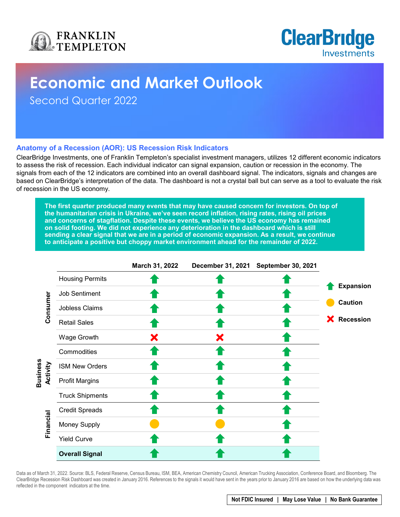



# **Economic and Market Outlook**

Second Quarter 2022

### **Anatomy of a Recession (AOR): US Recession Risk Indicators**

ClearBridge Investments, one of Franklin Templeton's specialist investment managers, utilizes 12 different economic indicators to assess the risk of recession. Each individual indicator can signal expansion, caution or recession in the economy. The signals from each of the 12 indicators are combined into an overall dashboard signal. The indicators, signals and changes are based on ClearBridge's interpretation of the data. The dashboard is not a crystal ball but can serve as a tool to evaluate the risk of recession in the US economy.

**The first quarter produced many events that may have caused concern for investors. On top of the humanitarian crisis in Ukraine, we've seen record inflation, rising rates, rising oil prices and concerns of stagflation. Despite these events, we believe the US economy has remained on solid footing. We did not experience any deterioration in the dashboard which is still sending a clear signal that we are in a period of economic expansion. As a result, we continue to anticipate a positive but choppy market environment ahead for the remainder of 2022.** 

|                 |                                   |                        | March 31, 2022 | <b>December 31, 2021</b> | September 30, 2021 |                                                          |  |
|-----------------|-----------------------------------|------------------------|----------------|--------------------------|--------------------|----------------------------------------------------------|--|
| <b>Business</b> |                                   | <b>Housing Permits</b> |                |                          |                    |                                                          |  |
|                 |                                   | Job Sentiment          |                |                          |                    | <b>Expansion</b><br><b>Caution</b><br><b>X</b> Recession |  |
|                 | Consumer<br>Activity<br>Financial | Jobless Claims         |                |                          |                    |                                                          |  |
|                 |                                   | <b>Retail Sales</b>    |                |                          |                    |                                                          |  |
|                 |                                   | Wage Growth            |                | Х                        |                    |                                                          |  |
|                 |                                   | Commodities            |                |                          |                    |                                                          |  |
|                 |                                   | <b>ISM New Orders</b>  |                |                          |                    |                                                          |  |
|                 |                                   | <b>Profit Margins</b>  |                |                          |                    |                                                          |  |
|                 |                                   | <b>Truck Shipments</b> |                |                          |                    |                                                          |  |
|                 |                                   | <b>Credit Spreads</b>  |                |                          |                    |                                                          |  |
|                 |                                   | <b>Money Supply</b>    |                |                          |                    |                                                          |  |
|                 |                                   | <b>Yield Curve</b>     |                |                          |                    |                                                          |  |
|                 |                                   | <b>Overall Signal</b>  |                |                          |                    |                                                          |  |

Data as of March 31, 2022. Source: BLS, Federal Reserve, Census Bureau, ISM, BEA, American Chemistry Council, American Trucking Association, Conference Board, and Bloomberg. The ClearBridge Recession Risk Dashboard was created in January 2016. References to the signals it would have sent in the years prior to January 2016 are based on how the underlying data was reflected in the component indicators at the time.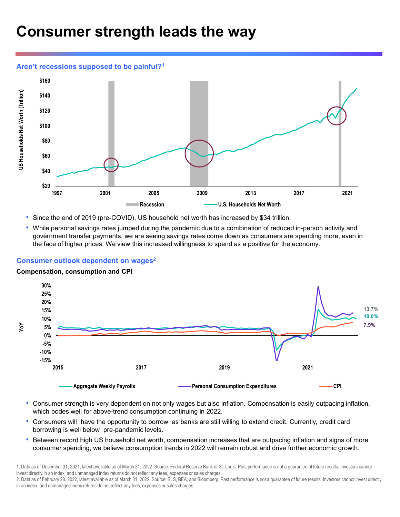# **Consumer strength leads the way**

### **Aren't recessions supposed to be painful?1**



- Since the end of 2019 (pre-COVID), US household net worth has increased by \$34 trillion.
- While personal savings rates jumped during the pandemic due to a combination of reduced in-person activity and government transfer payments, we are seeing savings rates come down as consumers are spending more, even in the face of higher prices. We view this increased willingness to spend as a positive for the economy.

### **Consumer outlook dependent on wages2**

#### **Compensation, consumption and CPI**



- Consumer strength is very dependent on not only wages but also inflation. Compensation is easily outpacing inflation, which bodes well for above-trend consumption continuing in 2022.
- Consumers will have the opportunity to borrow as banks are still willing to extend credit. Currently, credit card borrowing is well below pre-pandemic levels.
- Between record high US household net worth, compensation increases that are outpacing inflation and signs of more consumer spending, we believe consumption trends in 2022 will remain robust and drive further economic growth.

<sup>1.</sup> Data as of December 31, 2021, latest available as of March 31, 2022. Source: Federal Reserve Bank of St. Louis. Past performance is not a guarantee of future results. Investors cannot invest directly in an index, and unmanaged index returns do not reflect any fees, expenses or sales charges.

<sup>2.</sup> Data as of February 28, 2022, latest available as of March 31, 2022. Source: BLS, BEA, and Bloomberg. Past performance is not a guarantee of future results. Investors cannot invest directly in an index, and unmanaged index returns do not reflect any fees, expenses or sales charges.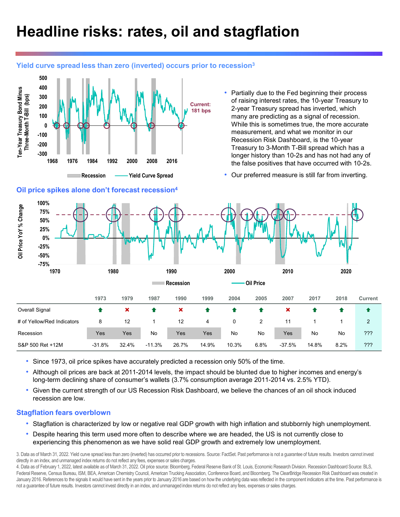# **Headline risks: rates, oil and stagflation**

### **Yield curve spread less than zero (inverted) occurs prior to recession3**



### **Oil price spikes alone don't forecast recession4**

Partially due to the Fed beginning their process of raising interest rates, the 10-year Treasury to 2-year Treasury spread has inverted, which many are predicting as a signal of recession. While this is sometimes true, the more accurate measurement, and what we monitor in our Recession Risk Dashboard, is the 10-year Treasury to 3-Month T-Bill spread which has a longer history than 10-2s and has not had any of the false positives that have occurred with 10-2s.

• Our preferred measure is still far from inverting.



- Since 1973, oil price spikes have accurately predicted a recession only 50% of the time.
- Although oil prices are back at 2011-2014 levels, the impact should be blunted due to higher incomes and energy's long-term declining share of consumer's wallets (3.7% consumption average 2011-2014 vs. 2.5% YTD).
- Given the current strength of our US Recession Risk Dashboard, we believe the chances of an oil shock induced recession are low.

### **Stagflation fears overblown**

- Stagflation is characterized by low or negative real GDP growth with high inflation and stubbornly high unemployment.
- Despite hearing this term used more often to describe where we are headed, the US is not currently close to experiencing this phenomenon as we have solid real GDP growth and extremely low unemployment.

3. Data as of March 31, 2022. Yield curve spread less than zero (inverted) has occurred prior to recessions. Source: FactSet. Past performance is not a guarantee of future results. Investors cannot invest directly in an index, and unmanaged index returns do not reflect any fees, expenses or sales charges.

4. Data as of February 1, 2022, latest available as of March 31, 2022. Oil price source: Bloomberg, Federal Reserve Bank of St. Louis, Economic Research Division. Recession Dashboard Source: BLS, Federal Reserve, Census Bureau, ISM, BEA, American Chemistry Council, American Trucking Association, Conference Board, and Bloomberg. The ClearBridge Recession Risk Dashboard was created in January 2016. References to the signals it would have sent in the years prior to January 2016 are based on how the underlying data was reflected in the component indicators at the time. Past performance is not a guarantee of future results. Investors cannot invest directly in an index, and unmanaged index returns do not reflect any fees, expenses or sales charges.